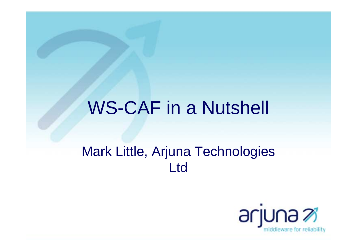#### WS-CAF in a Nutshell

#### Mark Little, Arjuna Technologies Ltd

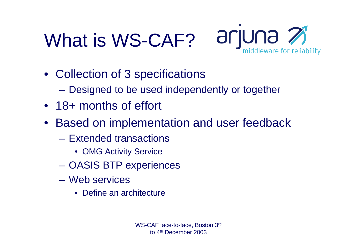# What is WS-CAF? arjuna 2



- Collection of 3 specifications
	- **Hart Committee** Designed to be used independently or together
- 18+ months of effort
- Based on implementation and user feedback
	- Extended transactions
		- OMG Activity Service
	- –OASIS BTP experiences
	- Web services
		- Define an architecture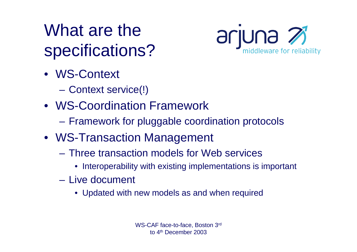#### What are the specifications?



- WS-Context
	- **Hart Committee** Context service(!)
- WS-Coordination Framework
	- –Framework for pluggable coordination protocols
- WS-Transaction Management
	- Three transaction models for Web services
		- Interoperability with existing implementations is important
	- Live document
		- Updated with new models as and when required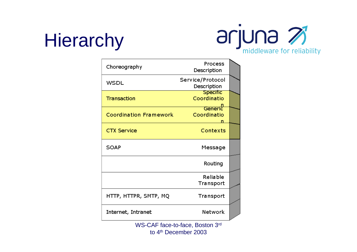# Hierarchy



| Choreography                  | Process<br>Description          |  |
|-------------------------------|---------------------------------|--|
| WSDL                          | Service/Protocol<br>Description |  |
| <b>Transaction</b>            | Specific<br>Coordinatio         |  |
| <b>Coordination Framework</b> | Generic<br>Coordinatio<br>n     |  |
| <b>CTX Service</b>            | Contexts                        |  |
| <b>SOAP</b>                   | Message                         |  |
|                               | Routing                         |  |
|                               | <b>Reliable</b><br>Transport    |  |
| HTTP, HTTPR, SMTP, MQ         | Transport                       |  |
| Internet, Intranet            | Network                         |  |

WS-CAF face-to-face, Boston 3rd to 4th December 2003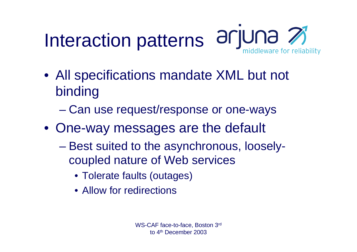#### Interaction patterns arjuna  $\varnothing$ middleware for reliability

- All specifications mandate XML but not binding
	- **However the Community** Can use request/response or one-ways
- One-way messages are the default
	- **However the Community**  Best suited to the asynchronous, looselycoupled nature of Web services
		- Tolerate faults (outages)
		- Allow for redirections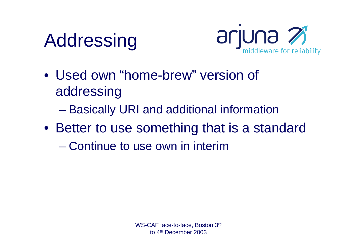



- Used own "home-brew" version of addressing
	- **However the Community** Basically URI and additional information
- Better to use something that is a standard
	- Continue to use own in interim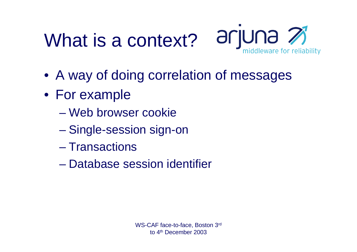# What is a context? arjuna 2



- A way of doing correlation of messages
- For example
	- Web browser cookie
	- **However the Community** Single-session sign-on
	- Transactions
	- Database session identifier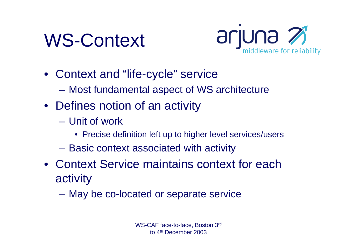



- Context and "life-cycle" service
	- **Hart Committee** Most fundamental aspect of WS architecture
- Defines notion of an activity
	- Unit of work
		- Precise definition left up to higher level services/users
	- **Hart Committee** Basic context associated with activity
- Context Service maintains context for each activity
	- –May be co-located or separate service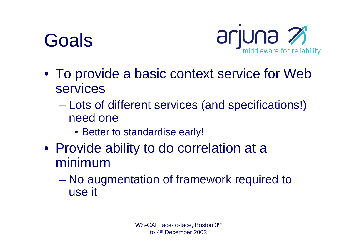## Goals



- To provide a basic context service for Web services
	- **However the Community**  Lots of different services (and specifications!) need one
		- Better to standardise early!
- Provide ability to do correlation at a minimum
	- **However the Community**  No augmentation of framework required to use it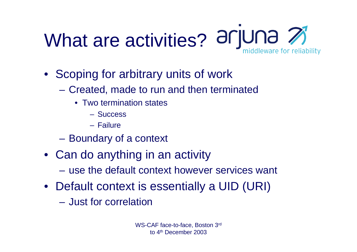#### What are activities? arjuna 2 middleware for reliability

- Scoping for arbitrary units of work
	- **Hart Committee**  Created, made to run and then terminated
		- Two termination states
			- Success
			- Failure
	- **Hart Committee** Boundary of a context
- Can do anything in an activity
	- use the default context however services want
- Default context is essentially a UID (URI)
	- Just for correlation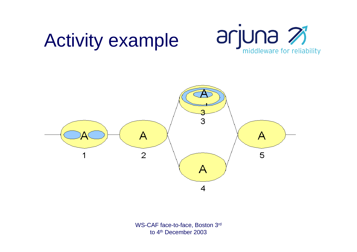## Activity example





WS-CAF face-to-face, Boston 3rd to 4th December 2003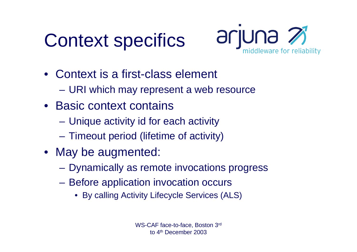## Context specifics



- Context is a first-class element
	- **Hart Committee** URI which may represent a web resource
- Basic context contains
	- –Unique activity id for each activity
	- **Hart Committee** Timeout period (lifetime of activity)
- May be augmented:
	- **Hart Committee** Dynamically as remote invocations progress
	- **Hart Committee**  Before application invocation occurs
		- By calling Activity Lifecycle Services (ALS)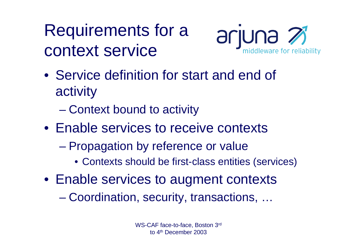Requirements for a context service



- Service definition for start and end of activity
	- **However the Community** Context bound to activity
- Enable services to receive contexts
	- **However the Community**  Propagation by reference or value
		- Contexts should be first-class entities (services)
- Enable services to augment contexts
	- **Hart Committee** Coordination, security, transactions, …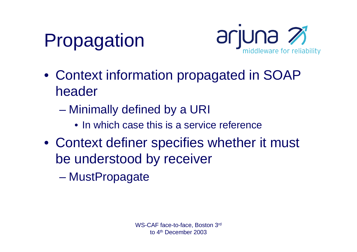



- Context information propagated in SOAP header
	- **However the Community**  Minimally defined by a URI
		- In which case this is a service reference
- Context definer specifies whether it must be understood by receiver
	- **Line Community MustPropagate**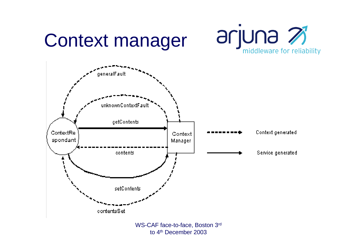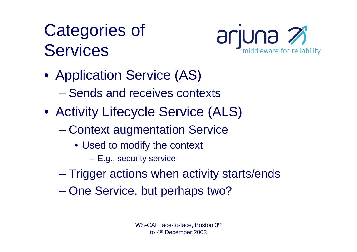#### Categories of **Services**



- Application Service (AS)
	- Sends and receives contexts
- Activity Lifecycle Service (ALS)
	- **However the Community**  Context augmentation Service
		- Used to modify the context
			- **Hart Committee** E.g., security service
	- **Line Community** Trigger actions when activity starts/ends
	- **However the Community** One Service, but perhaps two?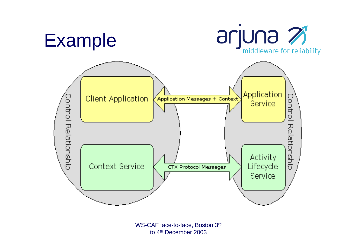

WS-CAF face-to-face, Boston 3rd to 4<sup>th</sup> December 2003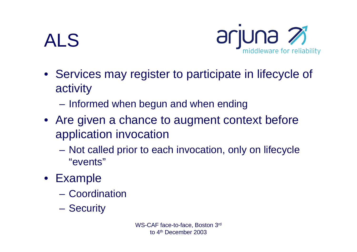## ALS



- Services may register to participate in lifecycle of activity
	- **Hart Committee** Informed when begun and when ending
- Are given a chance to augment context before application invocation
	- – Not called prior to each invocation, only on lifecycle "events"
- Example
	- Coordination
	- **Hart Committee Security**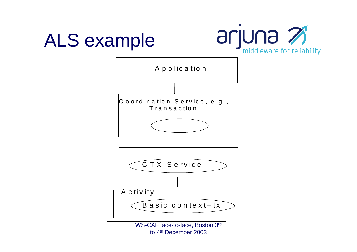#### ALS example



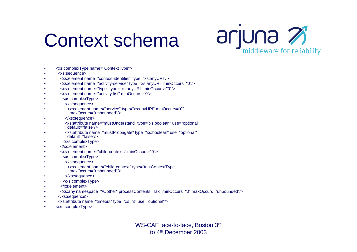#### Context schema



- •<xs:complexType name="ContextType">
- •<xs:sequence>
- •<xs:element name="context-identifier" type="xs:anyURI"/>
- •<xs:element name="activity-service" type="xs:anyURI" minOccurs="0"/>
- •<xs:element name="type" type="xs:anyURI" minOccurs="0"/>
- •<xs:element name="activity-list" minOccurs="0">
- •<xs:complexType>
- •<xs:sequence>
- • <xs:element name="service" type="xs:anyURI" minOccurs="0" maxOccurs="unbounded"/>
- •</xs:sequence>
- • <xs:attribute name="mustUnderstand" type="xs:boolean" use="optional" default="false"/>
- • <xs:attribute name="mustPropagate" type="xs:boolean" use="optional" default="false"/>
- •</xs:complexType>
- •</xs:element>
- •<xs:element name="child-contexts" minOccurs="0">
- •<xs:complexType>
- •<xs:sequence>

•

- <xs:element name="child-context" type="tns:ContextType" maxOccurs="unbounded"/>
- •</xs:sequence>
- •</xs:complexType>
- •</xs:element>
- •<xs:any namespace="##other" processContents="lax" minOccurs="0" maxOccurs="unbounded"/>
- •</xs:sequence>
- •<xs:attribute name="timeout" type="xs:int" use="optional"/>
- •</xs:complexType>

WS-CAF face-to-face, Boston 3rd to 4th December 2003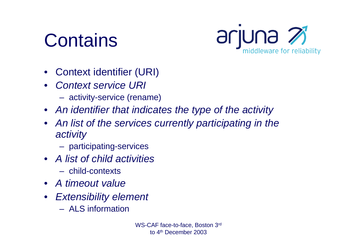## **Contains**



- Context identifier (URI)
- • *Context service URI*
	- **Hart Committee Committee** activity-service (rename)
- *An identifier that indicates the type of the activity*
- *An list of the services currently participating in the activity*
	- **Hart Committee** participating-services
- *A list of child activities*
	- child-contexts
- *A timeout value*
- *Extensibility element*
	- ALS information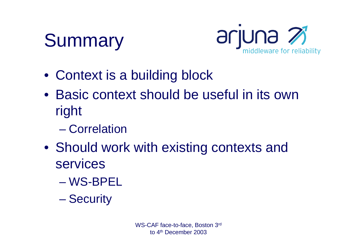



- Context is a building block
- Basic context should be useful in its own right
	- Correlation
- Should work with existing contexts and services
	- WS-BPEL
	- **However the Community Security**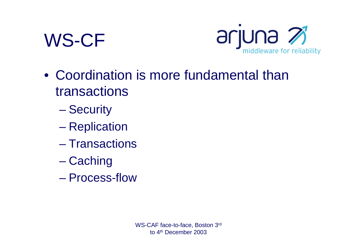



- Coordination is more fundamental than transactions
	- **However the Community Security**
	- **Hart Committee Replication**
	- Transactions
	- **However the Community Caching**
	- Process-flow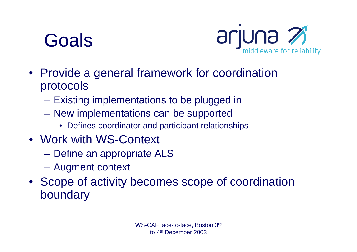#### Goals



- Provide a general framework for coordination protocols
	- **Hart Committee** Existing implementations to be plugged in
	- **Hart Committee**  New implementations can be supported
		- Defines coordinator and participant relationships
- Work with WS-Context
	- –Define an appropriate ALS
	- **Hart Committee** Augment context
- Scope of activity becomes scope of coordination boundary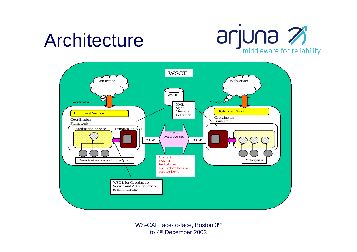#### **Architecture**





WS-CAF face-to-face, Boston 3rd to 4th December 2003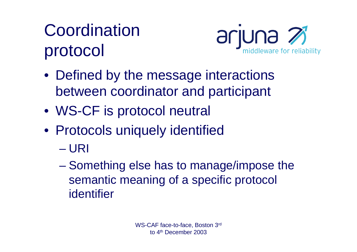## Coordination protocol



- Defined by the message interactions between coordinator and participant
- WS-CF is protocol neutral
- Protocols uniquely identified
	- URI
	- **However the Community**  Something else has to manage/impose the semantic meaning of a specific protocol identifier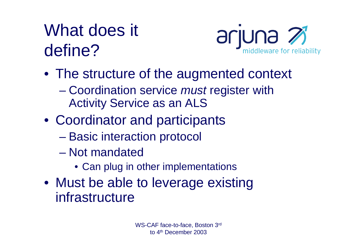#### What does it define?



- The structure of the augmented context
	- **However the Community**  Coordination service *must* register with Activity Service as an ALS
- Coordinator and participants
	- **Hart Committee** Basic interaction protocol
	- Not mandated
		- Can plug in other implementations
- Must be able to leverage existing infrastructure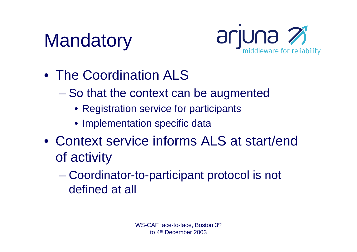



- The Coordination ALS
	- **Line Community**  So that the context can be augmented
		- Registration service for participants
		- Implementation specific data
- Context service informs ALS at start/end of activity
	- **Hart Committee**  Coordinator-to-participant protocol is not defined at all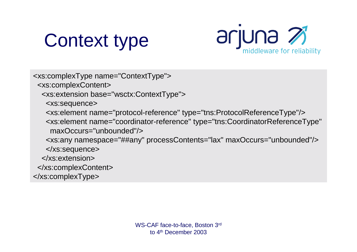



```
<xs:complexType name="ContextType">
 <xs:complexContent>
  <xs:extension base="wsctx:ContextType">
   <xs:sequence>
   <xs:element name="protocol-reference" type="tns:ProtocolReferenceType"/>
   <xs:element name="coordinator-reference" type="tns:CoordinatorReferenceType" 
    maxOccurs="unbounded"/><xs:any namespace="##any" processContents="lax" maxOccurs="unbounded"/>
   </xs:sequence>
  </xs:extension></xs:complexContent>
</xs:complexType>
```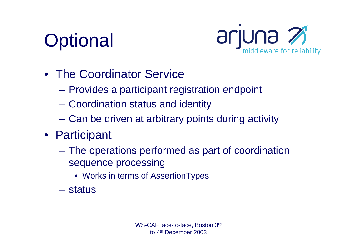# **Optional**



- The Coordinator Service
	- **Hart Committee** Provides a participant registration endpoint
	- –Coordination status and identity
	- **Hart Committee** Can be driven at arbitrary points during activity
- Participant
	- – The operations performed as part of coordination sequence processing
		- Works in terms of AssertionTypes
	- status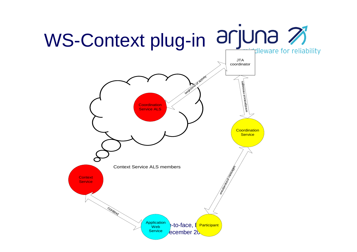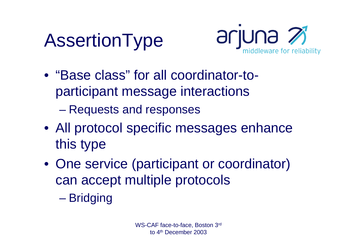



- "Base class" for all coordinator-toparticipant message interactions
	- **Hart Committee** Requests and responses
- All protocol specific messages enhance this type
- One service (participant or coordinator) can accept multiple protocols
	- **Hart Committee Bridging**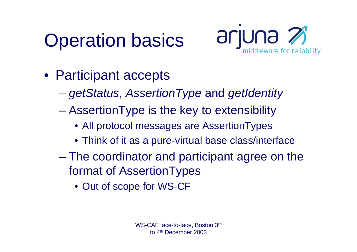# Operation basics



- Participant accepts
	- **However the Company** *getStatus*, *AssertionType* and *getIdentity*
	- **Hart Committee**  AssertionType is the key to extensibility
		- All protocol messages are AssertionTypes
		- Think of it as a pure-virtual base class/interface
	- **Hart Committee**  The coordinator and participant agree on the format of AssertionTypes
		- Out of scope for WS-CF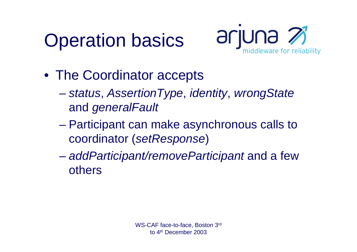# Operation basics



- The Coordinator accepts
	- **However the Company**  *status*, *AssertionType*, *identity*, *wrongState* and *generalFault*
	- **Hart Committee**  Participant can make asynchronous calls to coordinator (*setResponse*)
	- **However the Company**  *addParticipant/removeParticipant* and a few others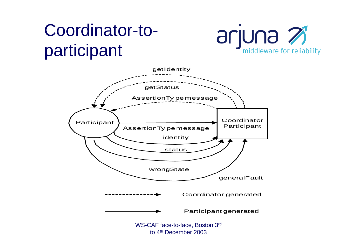### Coordinator-toparticipant



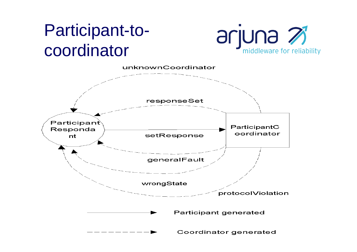#### Participant-tocoordinator



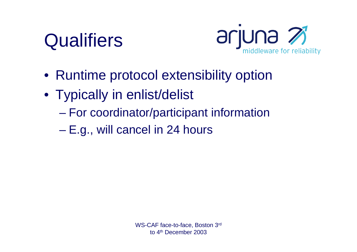



- Runtime protocol extensibility option
- Typically in enlist/delist
	- **However the Community** For coordinator/participant information
	- **However the Community** E.g., will cancel in 24 hours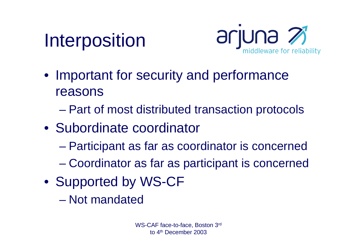



- Important for security and performance reasons
	- **However the Community** Part of most distributed transaction protocols
- Subordinate coordinator
	- **However the Community** Participant as far as coordinator is concerned
	- **However the Community** Coordinator as far as participant is concerned
- Supported by WS-CF
	- Not mandated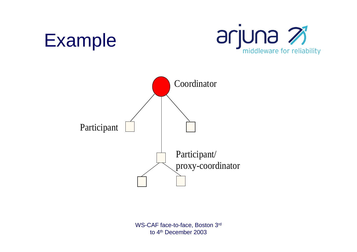# Example





WS-CAF face-to-face, Boston 3rd to 4th December 2003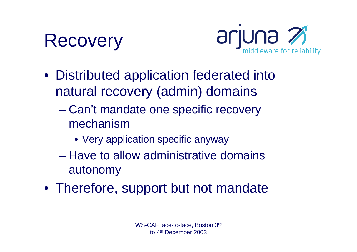



- Distributed application federated into natural recovery (admin) domains
	- **However the Community**  Can't mandate one specific recovery mechanism
		- Very application specific anyway
	- Have to allow administrative domains autonomy
- Therefore, support but not mandate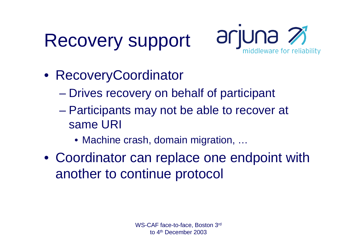Recovery support



- RecoveryCoordinator
	- **Line Community** Drives recovery on behalf of participant
	- **However the Community**  Participants may not be able to recover at same URI
		- Machine crash, domain migration, …
- Coordinator can replace one endpoint with another to continue protocol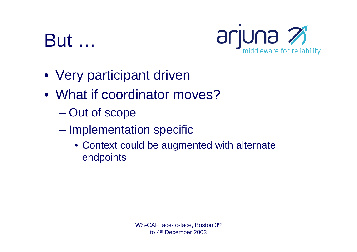## But …



- Very participant driven
- What if coordinator moves?
	- **However the Community** Out of scope
	- **However the Community**  Implementation specific
		- Context could be augmented with alternate endpoints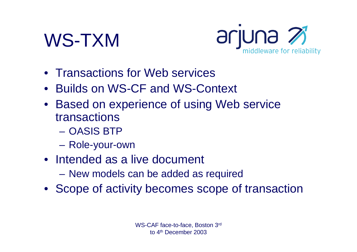



- Transactions for Web services
- Builds on WS-CF and WS-Context
- Based on experience of using Web service transactions
	- OASIS BTP
	- –Role-your-own
- Intended as a live document
	- **Hart Committee** New models can be added as required
- Scope of activity becomes scope of transaction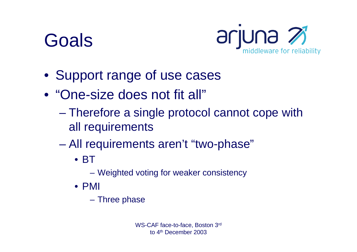# Goals



- Support range of use cases
- "One-size does not fit all"
	- **However the Community**  Therefore a single protocol cannot cope with all requirements
	- **Line Community**  All requirements aren't "two-phase"
		- BT
			- **Hart Committee** Weighted voting for weaker consistency
		- PMI
			- **Links of the Company** Three phase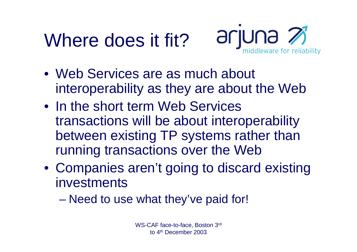# Where does it fit?



- Web Services are as much about interoperability as they are about the Web
- In the short term Web Services transactions will be about interoperability between existing TP systems rather than running transactions over the Web
- Companies aren't going to discard existing investments
	- **Hart Committee** Need to use what they've paid for!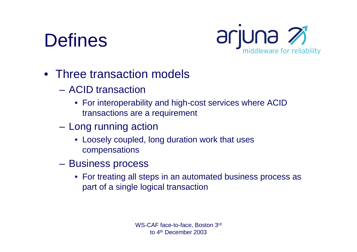## **Defines**



- Three transaction models
	- ACID transaction
		- For interoperability and high-cost services where ACID transactions are a requirement
	- – Long running action
		- Loosely coupled, long duration work that uses compensations
	- **Hart Committee**  Business process
		- For treating all steps in an automated business process as part of a single logical transaction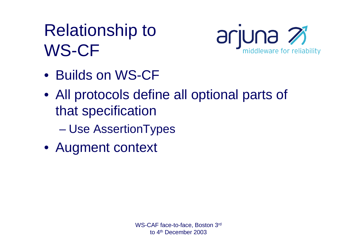#### Relationship to WS-CF



- Builds on WS-CF
- All protocols define all optional parts of that specification
	- **Hart Committee** Use AssertionTypes
- Augment context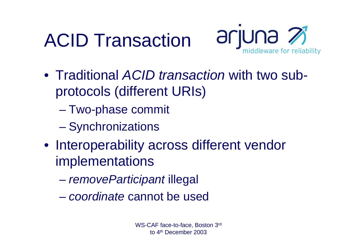# ACID Transaction



- Traditional *ACID transaction* with two subprotocols (different URIs)
	- **However the Community** Two-phase commit
	- **Hart Committee Synchronizations**
- Interoperability across different vendor implementations
	- **However the Community** *removeParticipant* illegal
	- *coordinate* cannot be used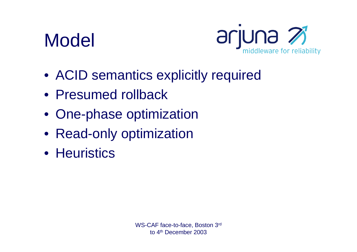## Model



- ACID semantics explicitly required
- Presumed rollback
- One-phase optimization
- Read-only optimization
- Heuristics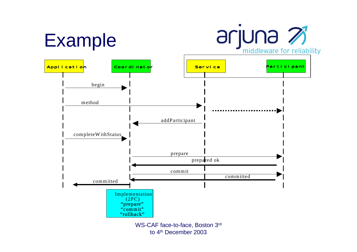





WS-CAF face-to-face, Boston 3rd to 4<sup>th</sup> December 2003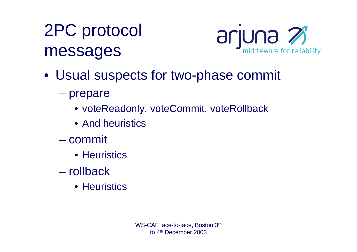## 2PC protocol messages



- Usual suspects for two-phase commit
	- prepare
		- voteReadonly, voteCommit, voteRollback
		- And heuristics
	- commit
		- Heuristics
	- rollback
		- Heuristics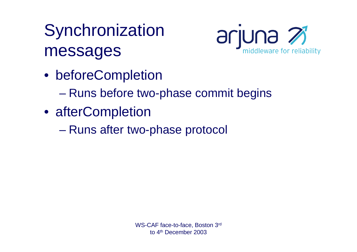## **Synchronization** messages



- beforeCompletion
	- **Line Community** Runs before two-phase commit begins
- afterCompletion
	- **However, Marketing** Runs after two-phase protocol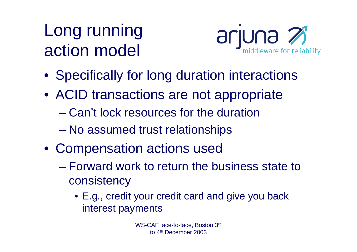#### Long running action model



- Specifically for long duration interactions
- ACID transactions are not appropriate
	- Can't lock resources for the duration
	- **However, Marketing** No assumed trust relationships
- Compensation actions used
	- Forward work to return the business state to consistency
		- E.g., credit your credit card and give you back interest payments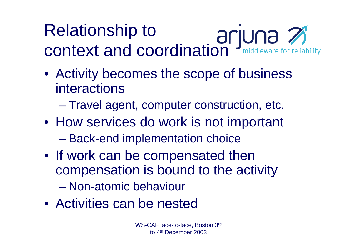# Relationship to **context and coordination and the context** and coordination

- Activity becomes the scope of business interactions
	- **However, Marketing** Travel agent, computer construction, etc.
- How services do work is not important **However, Marketing** Back-end implementation choice
- If work can be compensated then compensation is bound to the activity – Non-atomic behaviour
- Activities can be nested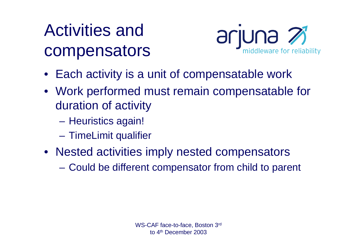# Activities and compensators



- Each activity is a unit of compensatable work
- Work performed must remain compensatable for duration of activity
	- **Hart Committee** Heuristics again!
	- **Hart Committee** TimeLimit qualifier
- Nested activities imply nested compensators
	- **Hart Committee** Could be different compensator from child to parent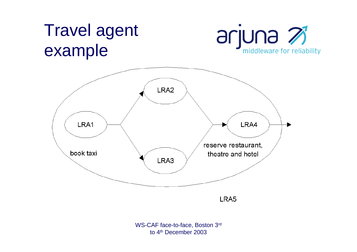#### Travel agent example





LRA<sub>5</sub>

WS-CAF face-to-face, Boston 3rd to 4th December 2003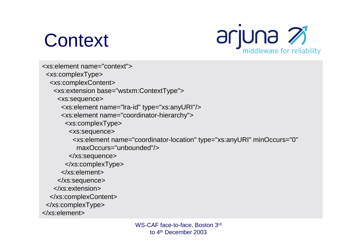



<xs:element name="context"><xs:complexType> <xs:complexContent> <xs:extension base="wstxm:ContextType"> <xs:sequence> <xs:element name="lra-id" type="xs:anyURI"/> <xs:element name="coordinator-hierarchy"> <xs:complexType> <xs:sequence> <xs:element name="coordinator-location" type="xs:anyURI" minOccurs="0" maxOccurs="unbounded"/></xs:sequence> </xs:complexType> </xs:element></xs:sequence> </xs:extension></xs:complexContent> </xs:complexType>

</xs:element>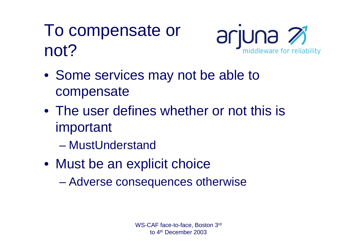#### To compensate or not?



- Some services may not be able to compensate
- The user defines whether or not this is important
	- MustUnderstand
- Must be an explicit choice
	- **However, Marketing** Adverse consequences otherwise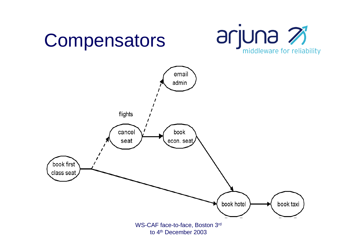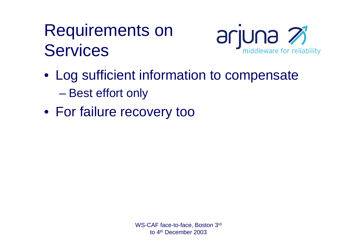#### Requirements on **Services**



- Log sufficient information to compensate **Hart Committee** Best effort only
- For failure recovery too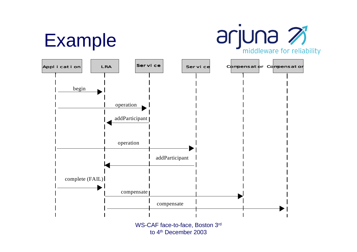# Example



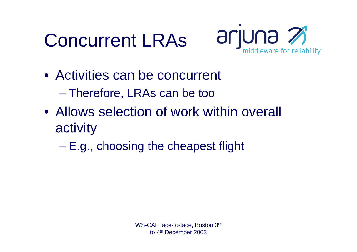# Concurrent LRAs



- Activities can be concurrent **Hart Committee** Therefore, LRAs can be too
- Allows selection of work within overall activity
	- **However, Marketing** E.g., choosing the cheapest flight

WS-CAF face-to-face, Boston 3rd to 4th December 2003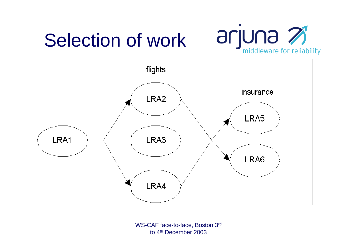# Selection of work





WS-CAF face-to-face, Boston 3rd to 4th December 2003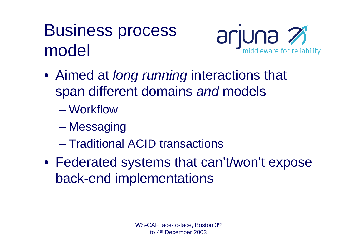#### Business process model



- Aimed at *long running* interactions that span different domains *and* models
	- Workflow
	- **Lawrence Committee Messaging**
	- Traditional ACID transactions
- Federated systems that can't/won't expose back-end implementations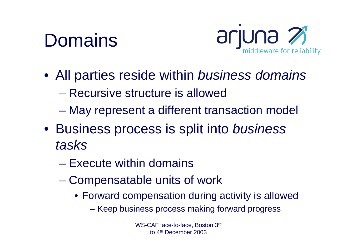



- All parties reside within *business domains*
	- Recursive structure is allowed
	- **However, Marketing** May represent a different transaction model
- Business process is split into *business tasks*
	- Execute within domains
	- **Lawrence Committee**  Compensatable units of work
		- Forward compensation during activity is allowed
			- **Links of the Company** Keep business process making forward progress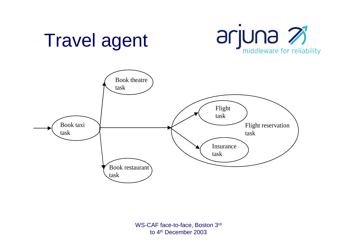





WS-CAF face-to-face, Boston 3rd to 4th December 2003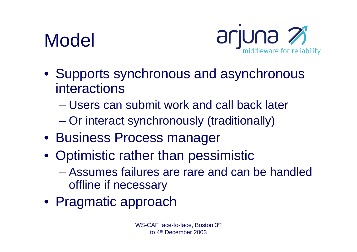# Model



- Supports synchronous and asynchronous interactions
	- Users can submit work and call back later
	- **Lawrence Committee** Or interact synchronously (traditionally)
- Business Process manager
- Optimistic rather than pessimistic
	- Assumes failures are rare and can be handled offline if necessary
- Pragmatic approach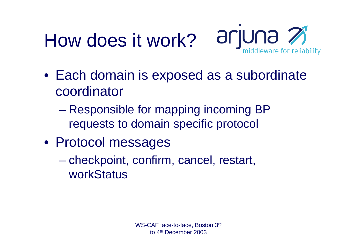# How does it work? arjuna 2



- Each domain is exposed as a subordinate coordinator
	- **However, Marketing**  Responsible for mapping incoming BP requests to domain specific protocol
- Protocol messages
	- **However, Marketing**  checkpoint, confirm, cancel, restart, workStatus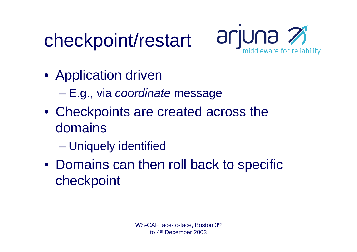# checkpoint/restart



- Application driven
	- **Hart Committee** E.g., via *coordinate* message
- Checkpoints are created across the domains
	- **However, Marketing** Uniquely identified
- Domains can then roll back to specific checkpoint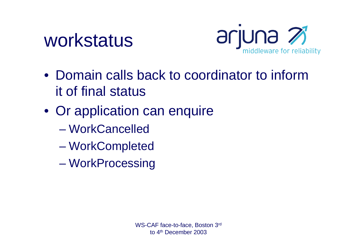



- Domain calls back to coordinator to inform it of final status
- Or application can enquire
	- WorkCancelled
	- **However, Marketing WorkCompleted**
	- **However, Marketing** WorkProcessing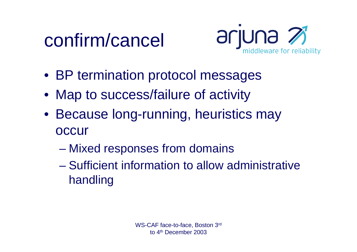# confirm/cancel



- BP termination protocol messages
- Map to success/failure of activity
- Because long-running, heuristics may **occur** 
	- **However, Marketing** Mixed responses from domains
	- Sufficient information to allow administrative handling